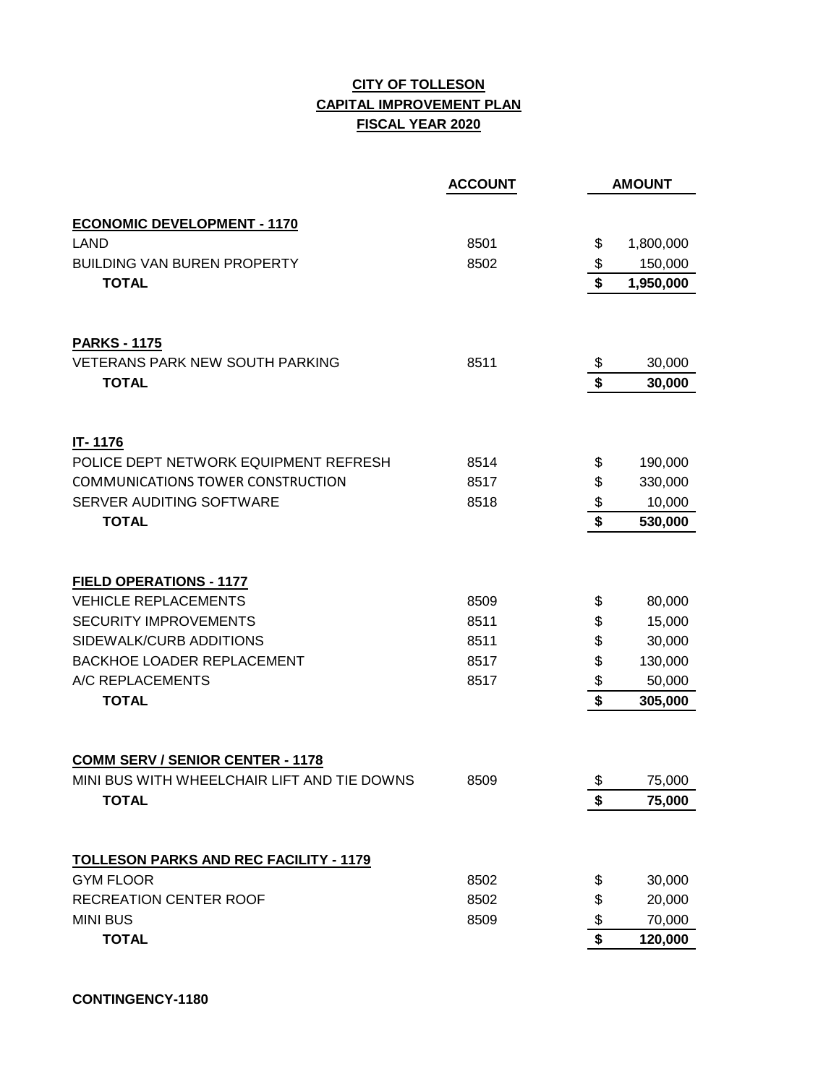## **CITY OF TOLLESON CAPITAL IMPROVEMENT PLAN FISCAL YEAR 2020**

|                                               | <b>ACCOUNT</b> |                                      | <b>AMOUNT</b> |
|-----------------------------------------------|----------------|--------------------------------------|---------------|
| <b>ECONOMIC DEVELOPMENT - 1170</b>            |                |                                      |               |
| <b>LAND</b>                                   | 8501           | \$                                   | 1,800,000     |
| <b>BUILDING VAN BUREN PROPERTY</b>            | 8502           | \$                                   | 150,000       |
| <b>TOTAL</b>                                  |                |                                      | 1,950,000     |
|                                               |                |                                      |               |
| <b>PARKS - 1175</b>                           |                |                                      |               |
| <b>VETERANS PARK NEW SOUTH PARKING</b>        | 8511           | \$                                   | 30,000        |
| <b>TOTAL</b>                                  |                | $\overline{\boldsymbol{\mathsf{s}}}$ | 30,000        |
| IT-1176                                       |                |                                      |               |
| POLICE DEPT NETWORK EQUIPMENT REFRESH         | 8514           | \$                                   | 190,000       |
| <b>COMMUNICATIONS TOWER CONSTRUCTION</b>      | 8517           | \$                                   | 330,000       |
| SERVER AUDITING SOFTWARE                      | 8518           | \$                                   | 10,000        |
| <b>TOTAL</b>                                  |                | $\overline{\boldsymbol{\mathsf{s}}}$ | 530,000       |
| <b>FIELD OPERATIONS - 1177</b>                |                |                                      |               |
| <b>VEHICLE REPLACEMENTS</b>                   | 8509           | \$                                   | 80,000        |
| <b>SECURITY IMPROVEMENTS</b>                  | 8511           | \$                                   | 15,000        |
| SIDEWALK/CURB ADDITIONS                       | 8511           | \$                                   | 30,000        |
| <b>BACKHOE LOADER REPLACEMENT</b>             | 8517           | \$                                   | 130,000       |
| A/C REPLACEMENTS                              | 8517           | \$                                   | 50,000        |
| <b>TOTAL</b>                                  |                | \$                                   | 305,000       |
| <b>COMM SERV / SENIOR CENTER - 1178</b>       |                |                                      |               |
| MINI BUS WITH WHEELCHAIR LIFT AND TIE DOWNS   | 8509           | \$                                   | 75,000        |
| <b>TOTAL</b>                                  |                | \$                                   | 75,000        |
|                                               |                |                                      |               |
| <b>TOLLESON PARKS AND REC FACILITY - 1179</b> |                |                                      |               |
| <b>GYM FLOOR</b>                              | 8502           | \$                                   | 30,000        |
| <b>RECREATION CENTER ROOF</b>                 | 8502           | \$                                   | 20,000        |
| <b>MINI BUS</b>                               | 8509           | \$                                   | 70,000        |
| <b>TOTAL</b>                                  |                | \$                                   | 120,000       |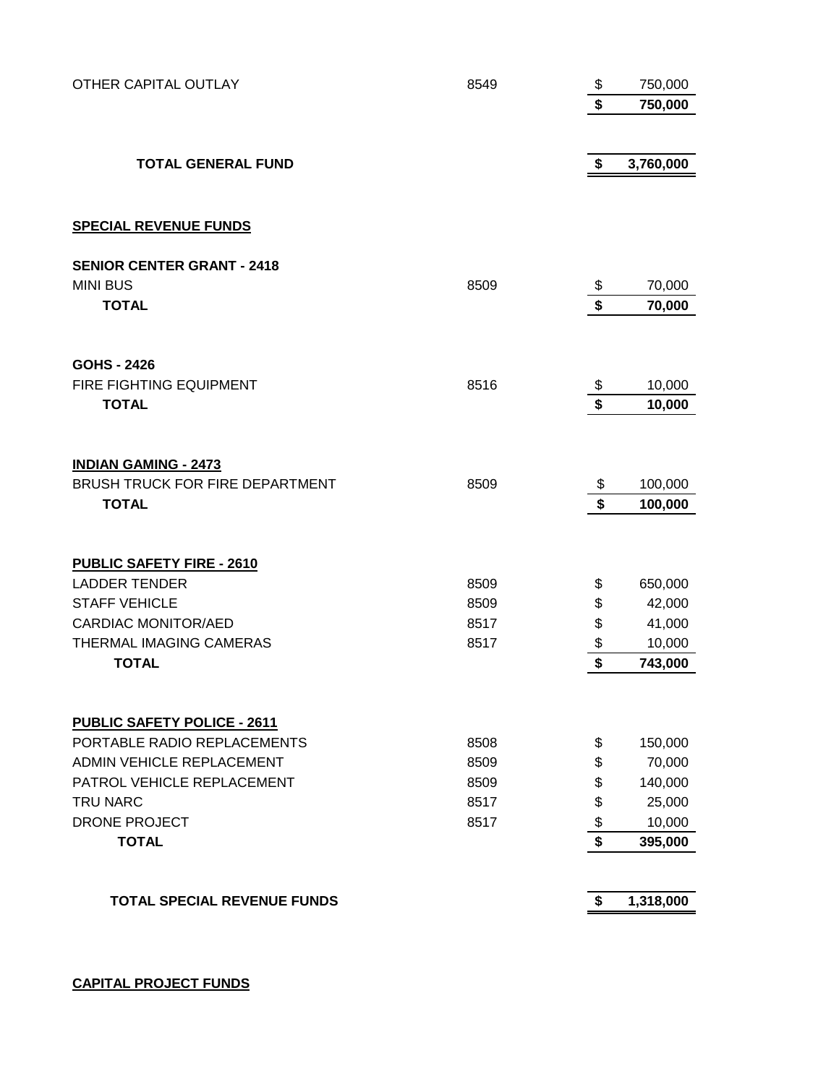| OTHER CAPITAL OUTLAY               | 8549 | \$                   | 750,000   |
|------------------------------------|------|----------------------|-----------|
|                                    |      | \$                   | 750,000   |
|                                    |      |                      |           |
| <b>TOTAL GENERAL FUND</b>          |      | \$                   | 3,760,000 |
|                                    |      |                      |           |
| <b>SPECIAL REVENUE FUNDS</b>       |      |                      |           |
| <b>SENIOR CENTER GRANT - 2418</b>  |      |                      |           |
| <b>MINI BUS</b>                    | 8509 | \$                   | 70,000    |
| <b>TOTAL</b>                       |      | $\overline{\bullet}$ | 70,000    |
| <b>GOHS - 2426</b>                 |      |                      |           |
| FIRE FIGHTING EQUIPMENT            | 8516 | \$                   | 10,000    |
| <b>TOTAL</b>                       |      | \$                   | 10,000    |
|                                    |      |                      |           |
| <b>INDIAN GAMING - 2473</b>        |      |                      |           |
| BRUSH TRUCK FOR FIRE DEPARTMENT    | 8509 | \$                   | 100,000   |
| <b>TOTAL</b>                       |      | $\mathbf{\hat{s}}$   | 100,000   |
| <b>PUBLIC SAFETY FIRE - 2610</b>   |      |                      |           |
| <b>LADDER TENDER</b>               | 8509 | \$                   | 650,000   |
| <b>STAFF VEHICLE</b>               | 8509 | \$                   | 42,000    |
| <b>CARDIAC MONITOR/AED</b>         | 8517 | \$                   | 41,000    |
| THERMAL IMAGING CAMERAS            | 8517 | \$                   | 10,000    |
| <b>TOTAL</b>                       |      | \$                   | 743,000   |
| <b>PUBLIC SAFETY POLICE - 2611</b> |      |                      |           |
| PORTABLE RADIO REPLACEMENTS        | 8508 | \$                   | 150,000   |
| <b>ADMIN VEHICLE REPLACEMENT</b>   | 8509 | \$                   | 70,000    |
| PATROL VEHICLE REPLACEMENT         | 8509 | \$                   | 140,000   |
| <b>TRU NARC</b>                    | 8517 | \$                   | 25,000    |
| <b>DRONE PROJECT</b>               | 8517 | \$                   | 10,000    |
| <b>TOTAL</b>                       |      | \$                   | 395,000   |
|                                    |      |                      |           |
| <b>TOTAL SPECIAL REVENUE FUNDS</b> |      | \$                   | 1,318,000 |

**CAPITAL PROJECT FUNDS**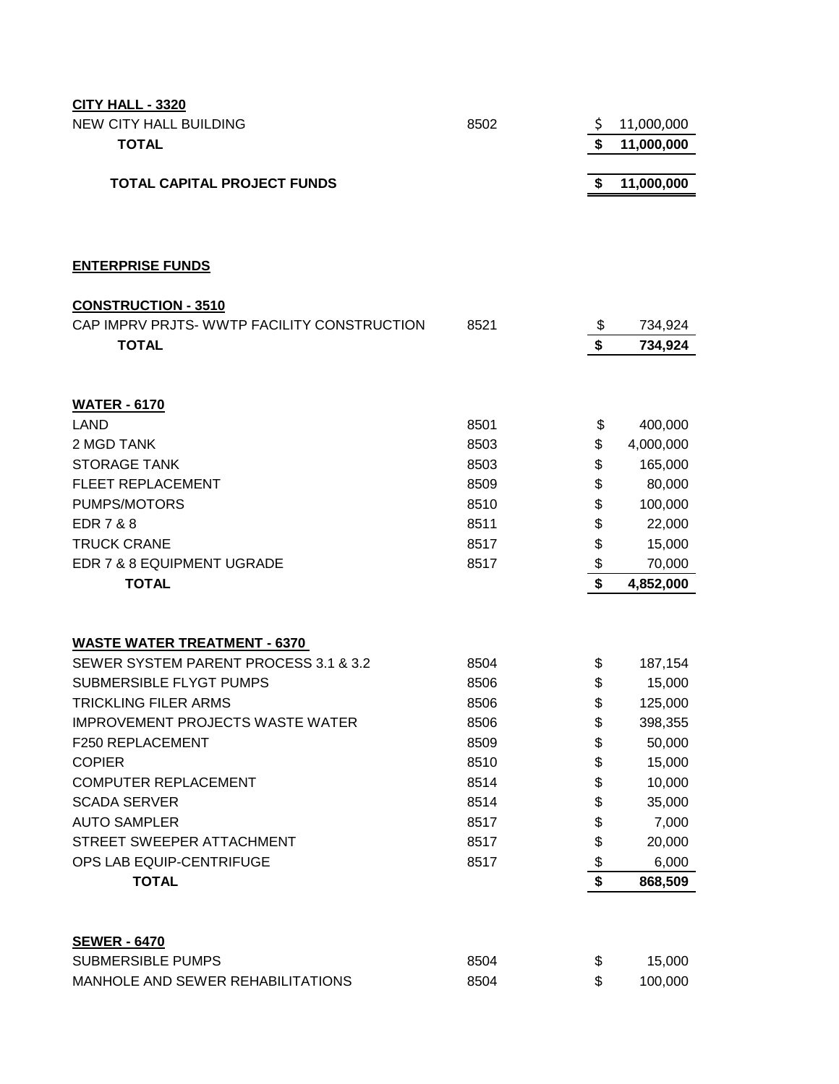| <b>CITY HALL - 3320</b>                     |      |                  |
|---------------------------------------------|------|------------------|
| <b>NEW CITY HALL BUILDING</b>               | 8502 | \$<br>11,000,000 |
| <b>TOTAL</b>                                |      | \$<br>11,000,000 |
|                                             |      |                  |
| <b>TOTAL CAPITAL PROJECT FUNDS</b>          |      | \$<br>11,000,000 |
|                                             |      |                  |
|                                             |      |                  |
|                                             |      |                  |
| <b>ENTERPRISE FUNDS</b>                     |      |                  |
| <b>CONSTRUCTION - 3510</b>                  |      |                  |
| CAP IMPRV PRJTS- WWTP FACILITY CONSTRUCTION | 8521 | \$<br>734,924    |
| <b>TOTAL</b>                                |      | \$<br>734,924    |
|                                             |      |                  |
|                                             |      |                  |
| <b>WATER - 6170</b>                         |      |                  |
| <b>LAND</b>                                 | 8501 | \$<br>400,000    |
| 2 MGD TANK                                  | 8503 | \$<br>4,000,000  |
| <b>STORAGE TANK</b>                         | 8503 | \$<br>165,000    |
| <b>FLEET REPLACEMENT</b>                    | 8509 | \$<br>80,000     |
| PUMPS/MOTORS                                | 8510 | \$<br>100,000    |
| <b>EDR7&amp;8</b>                           | 8511 | \$<br>22,000     |
| <b>TRUCK CRANE</b>                          | 8517 | \$<br>15,000     |
| EDR 7 & 8 EQUIPMENT UGRADE                  | 8517 | \$<br>70,000     |
| <b>TOTAL</b>                                |      | \$<br>4,852,000  |
|                                             |      |                  |
| <b>WASTE WATER TREATMENT - 6370</b>         |      |                  |
| SEWER SYSTEM PARENT PROCESS 3.1 & 3.2       | 8504 | \$<br>187,154    |
| SUBMERSIBLE FLYGT PUMPS                     | 8506 | \$<br>15,000     |
| <b>TRICKLING FILER ARMS</b>                 | 8506 | \$<br>125,000    |
| <b>IMPROVEMENT PROJECTS WASTE WATER</b>     | 8506 | \$<br>398,355    |
| F250 REPLACEMENT                            | 8509 | \$<br>50,000     |
| <b>COPIER</b>                               | 8510 | \$<br>15,000     |
| <b>COMPUTER REPLACEMENT</b>                 | 8514 | \$<br>10,000     |
| <b>SCADA SERVER</b>                         | 8514 | \$<br>35,000     |
| <b>AUTO SAMPLER</b>                         | 8517 | \$<br>7,000      |
| STREET SWEEPER ATTACHMENT                   | 8517 | \$<br>20,000     |
| OPS LAB EQUIP-CENTRIFUGE                    | 8517 | \$<br>6,000      |
| <b>TOTAL</b>                                |      | \$<br>868,509    |
|                                             |      |                  |
| <b>SEWER - 6470</b>                         |      |                  |
| <b>SUBMERSIBLE PUMPS</b>                    | 8504 | \$<br>15,000     |
| MANHOLE AND SEWER REHABILITATIONS           | 8504 | \$<br>100,000    |